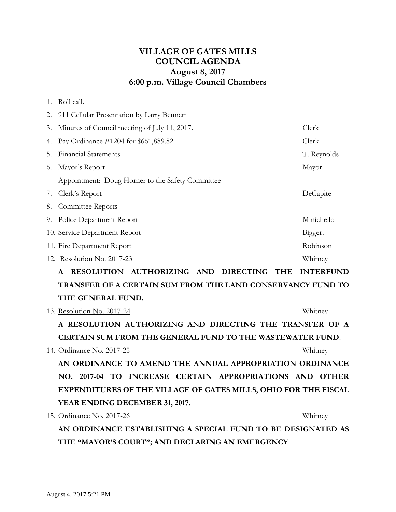## **VILLAGE OF GATES MILLS COUNCIL AGENDA August 8, 2017 6:00 p.m. Village Council Chambers**

1. Roll call.

|    | 2. 911 Cellular Presentation by Larry Bennett    |             |
|----|--------------------------------------------------|-------------|
| 3. | Minutes of Council meeting of July 11, 2017.     | Clerk       |
| 4. | Pay Ordinance #1204 for \$661,889.82             | Clerk       |
| 5. | <b>Financial Statements</b>                      | T. Reynolds |
| 6. | Mayor's Report                                   | Mayor       |
|    | Appointment: Doug Horner to the Safety Committee |             |
| 7. | Clerk's Report                                   | DeCapite    |
| 8. | Committee Reports                                |             |
|    | 9. Police Department Report                      | Minichello  |
|    | 10. Service Department Report                    | Biggert     |
|    | 11. Fire Department Report                       | Robinson    |
|    | 12. Resolution No. 2017-23                       | Whitney     |

**A RESOLUTION AUTHORIZING AND DIRECTING THE INTERFUND TRANSFER OF A CERTAIN SUM FROM THE LAND CONSERVANCY FUND TO THE GENERAL FUND.**

13. Resolution No. 2017-24 Whitney

**A RESOLUTION AUTHORIZING AND DIRECTING THE TRANSFER OF A CERTAIN SUM FROM THE GENERAL FUND TO THE WASTEWATER FUND**.

14. Ordinance No. 2017-25 Whitney

**AN ORDINANCE TO AMEND THE ANNUAL APPROPRIATION ORDINANCE NO. 2017-04 TO INCREASE CERTAIN APPROPRIATIONS AND OTHER EXPENDITURES OF THE VILLAGE OF GATES MILLS, OHIO FOR THE FISCAL YEAR ENDING DECEMBER 31, 2017.**

15. Ordinance No. 2017-26 Whitney **AN ORDINANCE ESTABLISHING A SPECIAL FUND TO BE DESIGNATED AS THE "MAYOR'S COURT"; AND DECLARING AN EMERGENCY**.